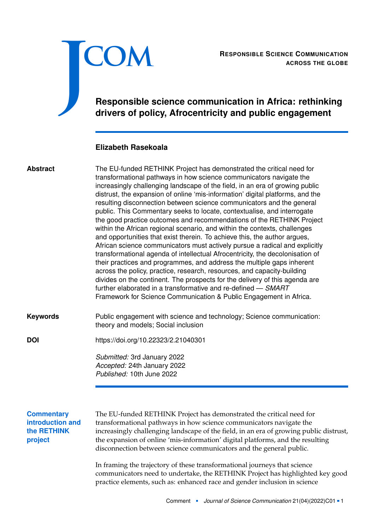

RESPONSIBLE SCIENCE COMMUNICATION<br>ACROSS THE GLOBE **ACROSS THE GLOBE**

# **Responsible science communication in Africa: rethinking drivers of policy, Afrocentricity and public engagement**

### **Elizabeth Rasekoala**

### The EU-funded RETHINK Project has demonstrated the critical need for transformational pathways in how science communicators navigate the increasingly challenging landscape of the field, in an era of growing public distrust, the expansion of online 'mis-information' digital platforms, and the resulting disconnection between science communicators and the general public. This Commentary seeks to locate, contextualise, and interrogate the good practice outcomes and recommendations of the RETHINK Project within the African regional scenario, and within the contexts, challenges and opportunities that exist therein. To achieve this, the author argues, African science communicators must actively pursue a radical and explicitly transformational agenda of intellectual Afrocentricity, the decolonisation of their practices and programmes, and address the multiple gaps inherent across the policy, practice, research, resources, and capacity-building divides on the continent. The prospects for the delivery of this agenda are further elaborated in a transformative and re-defined — *SMART* Framework for Science Communication & Public Engagement in Africa. **Abstract**

Public engagement with science and technology; Science communication: theory and models; Social inclusion **Keywords**

**DOI** <https://doi.org/10.22323/2.21040301>

*Submitted:* 3rd January 2022 *Accepted:* 24th January 2022 *Published:* 10th June 2022

### **Commentary introduction and the RETHINK project**

The EU-funded RETHINK Project has demonstrated the critical need for transformational pathways in how science communicators navigate the increasingly challenging landscape of the field, in an era of growing public distrust, the expansion of online 'mis-information' digital platforms, and the resulting disconnection between science communicators and the general public.

In framing the trajectory of these transformational journeys that science communicators need to undertake, the RETHINK Project has highlighted key good practice elements, such as: enhanced race and gender inclusion in science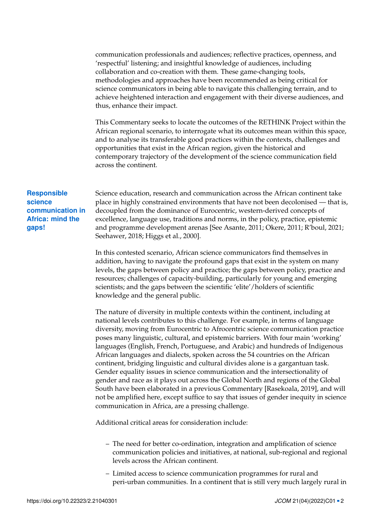communication professionals and audiences; reflective practices, openness, and 'respectful' listening; and insightful knowledge of audiences, including collaboration and co-creation with them. These game-changing tools, methodologies and approaches have been recommended as being critical for science communicators in being able to navigate this challenging terrain, and to achieve heightened interaction and engagement with their diverse audiences, and thus, enhance their impact.

This Commentary seeks to locate the outcomes of the RETHINK Project within the African regional scenario, to interrogate what its outcomes mean within this space, and to analyse its transferable good practices within the contexts, challenges and opportunities that exist in the African region, given the historical and contemporary trajectory of the development of the science communication field across the continent.

#### **Responsible science communication in Africa: mind the gaps!**

Science education, research and communication across the African continent take place in highly constrained environments that have not been decolonised — that is, decoupled from the dominance of Eurocentric, western-derived concepts of excellence, language use, traditions and norms, in the policy, practice, epistemic and programme development arenas [See Asante, [2011;](#page-5-0) Okere, [2011;](#page-5-1) R'boul, [2021;](#page-6-0) Seehawer, [2018;](#page-6-1) Higgs et al., [2000\]](#page-5-2).

In this contested scenario, African science communicators find themselves in addition, having to navigate the profound gaps that exist in the system on many levels, the gaps between policy and practice; the gaps between policy, practice and resources; challenges of capacity-building, particularly for young and emerging scientists; and the gaps between the scientific 'elite'/holders of scientific knowledge and the general public.

The nature of diversity in multiple contexts within the continent, including at national levels contributes to this challenge. For example, in terms of language diversity, moving from Eurocentric to Afrocentric science communication practice poses many linguistic, cultural, and epistemic barriers. With four main 'working' languages (English, French, Portuguese, and Arabic) and hundreds of Indigenous African languages and dialects, spoken across the 54 countries on the African continent, bridging linguistic and cultural divides alone is a gargantuan task. Gender equality issues in science communication and the intersectionality of gender and race as it plays out across the Global North and regions of the Global South have been elaborated in a previous Commentary [Rasekoala, [2019\]](#page-6-2), and will not be amplified here, except suffice to say that issues of gender inequity in science communication in Africa, are a pressing challenge.

Additional critical areas for consideration include:

- The need for better co-ordination, integration and amplification of science communication policies and initiatives, at national, sub-regional and regional levels across the African continent.
- Limited access to science communication programmes for rural and peri-urban communities. In a continent that is still very much largely rural in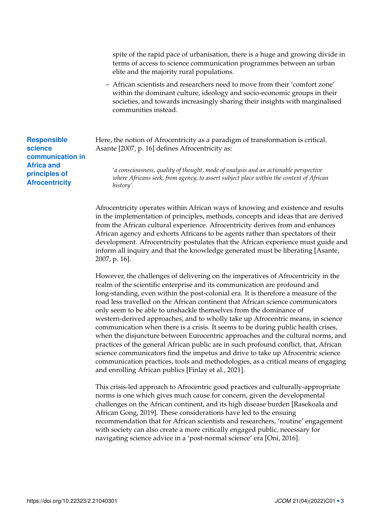spite of the rapid pace of urbanisation, there is a huge and growing divide in terms of access to science communication programmes between an urban elite and the majority rural populations.

– African scientists and researchers need to move from their 'comfort zone' within the dominant culture, ideology and socio-economic groups in their societies, and towards increasingly sharing their insights with marginalised communities instead.

Here, the notion of Afrocentricity as a paradigm of transformation is critical. Asante [\[2007,](#page-5-3) p. 16] defines Afrocentricity as:

'*a consciousness, quality of thought, mode of analysis and an actionable perspective where Africans seek, from agency, to assert subject place within the context of African history'.*

Afrocentricity operates within African ways of knowing and existence and results in the implementation of principles, methods, concepts and ideas that are derived from the African cultural experience. Afrocentricity derives from and enhances African agency and exhorts Africans to be agents rather than spectators of their development. Afrocentricity postulates that the African experience must guide and inform all inquiry and that the knowledge generated must be liberating [Asante, [2007,](#page-5-3) p. 16].

However, the challenges of delivering on the imperatives of Afrocentricity in the realm of the scientific enterprise and its communication are profound and long-standing, even within the post-colonial era. It is therefore a measure of the road less travelled on the African continent that African science communicators only seem to be able to unshackle themselves from the dominance of western-derived approaches, and to wholly take up Afrocentric means, in science communication when there is a crisis. It seems to be during public health crises, when the disjuncture between Eurocentric approaches and the cultural norms, and practices of the general African public are in such profound conflict, that, African science communicators find the impetus and drive to take up Afrocentric science communication practices, tools and methodologies, as a critical means of engaging and enrolling African publics [Finlay et al., [2021\]](#page-5-4).

This crisis-led approach to Afrocentric good practices and culturally-appropriate norms is one which gives much cause for concern, given the developmental challenges on the African continent, and its high disease burden [Rasekoala and African Gong, [2019\]](#page-6-3). These considerations have led to the ensuing recommendation that for African scientists and researchers, 'routine' engagement with society can also create a more critically engaged public, necessary for navigating science advice in a 'post-normal science' era [Oni, [2016\]](#page-5-5).

**Responsible science communication in Africa and principles of Afrocentricity**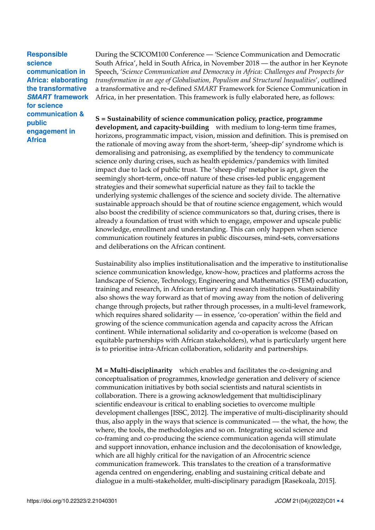**Responsible science communication in Africa: elaborating the transformative** *SMART* **framework for science communication & public engagement in Africa**

During the SCICOM100 Conference — 'Science Communication and Democratic South Africa', held in South Africa, in November 2018 — the author in her Keynote Speech, '*Science Communication and Democracy in Africa: Challenges and Prospects for transformation in an age of Globalisation, Populism and Structural Inequalities*', outlined a transformative and re-defined *SMART* Framework for Science Communication in Africa, in her presentation. This framework is fully elaborated here, as follows:

## **S = Sustainability of science communication policy, practice, programme**

**development, and capacity-building** with medium to long-term time frames, horizons, programmatic impact, vision, mission and definition. This is premised on the rationale of moving away from the short-term, 'sheep-dip' syndrome which is demoralising and patronising, as exemplified by the tendency to communicate science only during crises, such as health epidemics/pandemics with limited impact due to lack of public trust. The 'sheep-dip' metaphor is apt, given the seemingly short-term, once-off nature of these crises-led public engagement strategies and their somewhat superficial nature as they fail to tackle the underlying systemic challenges of the science and society divide. The alternative sustainable approach should be that of routine science engagement, which would also boost the credibility of science communicators so that, during crises, there is already a foundation of trust with which to engage, empower and upscale public knowledge, enrollment and understanding. This can only happen when science communication routinely features in public discourses, mind-sets, conversations and deliberations on the African continent.

Sustainability also implies institutionalisation and the imperative to institutionalise science communication knowledge, know-how, practices and platforms across the landscape of Science, Technology, Engineering and Mathematics (STEM) education, training and research, in African tertiary and research institutions. Sustainability also shows the way forward as that of moving away from the notion of delivering change through projects, but rather through processes, in a multi-level framework, which requires shared solidarity — in essence, 'co-operation' within the field and growing of the science communication agenda and capacity across the African continent. While international solidarity and co-operation is welcome (based on equitable partnerships with African stakeholders), what is particularly urgent here is to prioritise intra-African collaboration, solidarity and partnerships.

**M = Multi-disciplinarity** which enables and facilitates the co-designing and conceptualisation of programmes, knowledge generation and delivery of science communication initiatives by both social scientists and natural scientists in collaboration. There is a growing acknowledgement that multidisciplinary scientific endeavour is critical to enabling societies to overcome multiple development challenges [ISSC, [2012\]](#page-5-6). The imperative of multi-disciplinarity should thus, also apply in the ways that science is communicated — the what, the how, the where, the tools, the methodologies and so on. Integrating social science and co-framing and co-producing the science communication agenda will stimulate and support innovation, enhance inclusion and the decolonisation of knowledge, which are all highly critical for the navigation of an Afrocentric science communication framework. This translates to the creation of a transformative agenda centred on engendering, enabling and sustaining critical debate and dialogue in a multi-stakeholder, multi-disciplinary paradigm [Rasekoala, [2015\]](#page-6-4).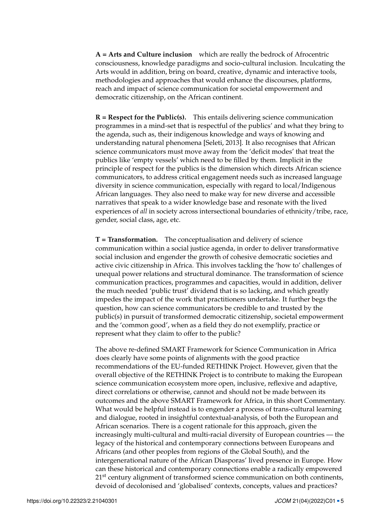**A = Arts and Culture inclusion** which are really the bedrock of Afrocentric consciousness, knowledge paradigms and socio-cultural inclusion. Inculcating the Arts would in addition, bring on board, creative, dynamic and interactive tools, methodologies and approaches that would enhance the discourses, platforms, reach and impact of science communication for societal empowerment and democratic citizenship, on the African continent.

**R = Respect for the Public(s).** This entails delivering science communication programmes in a mind-set that is respectful of the publics' and what they bring to the agenda, such as, their indigenous knowledge and ways of knowing and understanding natural phenomena [Seleti, [2013\]](#page-6-5). It also recognises that African science communicators must move away from the 'deficit modes' that treat the publics like 'empty vessels' which need to be filled by them. Implicit in the principle of respect for the publics is the dimension which directs African science communicators, to address critical engagement needs such as increased language diversity in science communication, especially with regard to local/Indigenous African languages. They also need to make way for new diverse and accessible narratives that speak to a wider knowledge base and resonate with the lived experiences of *all* in society across intersectional boundaries of ethnicity/tribe, race, gender, social class, age, etc.

**T = Transformation.** The conceptualisation and delivery of science communication within a social justice agenda, in order to deliver transformative social inclusion and engender the growth of cohesive democratic societies and active civic citizenship in Africa. This involves tackling the 'how to' challenges of unequal power relations and structural dominance. The transformation of science communication practices, programmes and capacities, would in addition, deliver the much needed 'public trust' dividend that is so lacking, and which greatly impedes the impact of the work that practitioners undertake. It further begs the question, how can science communicators be credible to and trusted by the public(s) in pursuit of transformed democratic citizenship, societal empowerment and the 'common good', when as a field they do not exemplify, practice or represent what they claim to offer to the public?

The above re-defined SMART Framework for Science Communication in Africa does clearly have some points of alignments with the good practice recommendations of the EU-funded RETHINK Project. However, given that the overall objective of the RETHINK Project is to contribute to making the European science communication ecosystem more open, inclusive, reflexive and adaptive, direct correlations or otherwise, cannot and should not be made between its outcomes and the above SMART Framework for Africa, in this short Commentary. What would be helpful instead is to engender a process of trans-cultural learning and dialogue, rooted in insightful contextual-analysis, of both the European and African scenarios. There is a cogent rationale for this approach, given the increasingly multi-cultural and multi-racial diversity of European countries — the legacy of the historical and contemporary connections between Europeans and Africans (and other peoples from regions of the Global South), and the intergenerational nature of the African Diasporas' lived presence in Europe. How can these historical and contemporary connections enable a radically empowered 21<sup>st</sup> century alignment of transformed science communication on both continents, devoid of decolonised and 'globalised' contexts, concepts, values and practices?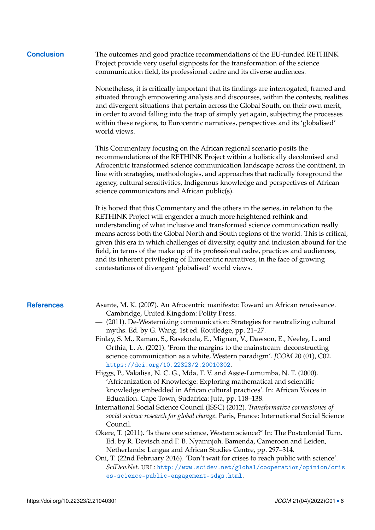**Conclusion** The outcomes and good practice recommendations of the EU-funded RETHINK Project provide very useful signposts for the transformation of the science communication field, its professional cadre and its diverse audiences.

> Nonetheless, it is critically important that its findings are interrogated, framed and situated through empowering analysis and discourses, within the contexts, realities and divergent situations that pertain across the Global South, on their own merit, in order to avoid falling into the trap of simply yet again, subjecting the processes within these regions, to Eurocentric narratives, perspectives and its 'globalised' world views.

This Commentary focusing on the African regional scenario posits the recommendations of the RETHINK Project within a holistically decolonised and Afrocentric transformed science communication landscape across the continent, in line with strategies, methodologies, and approaches that radically foreground the agency, cultural sensitivities, Indigenous knowledge and perspectives of African science communicators and African public(s).

It is hoped that this Commentary and the others in the series, in relation to the RETHINK Project will engender a much more heightened rethink and understanding of what inclusive and transformed science communication really means across both the Global North and South regions of the world. This is critical, given this era in which challenges of diversity, equity and inclusion abound for the field, in terms of the make up of its professional cadre, practices and audiences, and its inherent privileging of Eurocentric narratives, in the face of growing contestations of divergent 'globalised' world views.

- <span id="page-5-6"></span><span id="page-5-5"></span><span id="page-5-4"></span><span id="page-5-3"></span><span id="page-5-2"></span><span id="page-5-1"></span><span id="page-5-0"></span>**References** Asante, M. K. (2007). An Afrocentric manifesto: Toward an African renaissance. Cambridge, United Kingdom: Polity Press.
	- (2011). De-Westernizing communication: Strategies for neutralizing cultural myths. Ed. by G. Wang. 1st ed. Routledge, pp. 21–27.
	- Finlay, S. M., Raman, S., Rasekoala, E., Mignan, V., Dawson, E., Neeley, L. and Orthia, L. A. (2021). 'From the margins to the mainstream: deconstructing science communication as a white, Western paradigm'. *JCOM* 20 (01), C02. <https://doi.org/10.22323/2.20010302>.
	- Higgs, P., Vakalisa, N. C. G., Mda, T. V. and Assie-Lumumba, N. T. (2000). 'Africanization of Knowledge: Exploring mathematical and scientific knowledge embedded in African cultural practices'. In: African Voices in Education. Cape Town, Sudafrica: Juta, pp. 118–138.
	- International Social Science Council (ISSC) (2012). *Transformative cornerstones of social science research for global change*. Paris, France: International Social Science Council.
	- Okere, T. (2011). 'Is there one science, Western science?' In: The Postcolonial Turn. Ed. by R. Devisch and F. B. Nyamnjoh. Bamenda, Cameroon and Leiden, Netherlands: Langaa and African Studies Centre, pp. 297–314.
	- Oni, T. (22nd February 2016). 'Don't wait for crises to reach public with science'. *SciDev.Net*. URL: [http://www.scidev.net/global/cooperation/opinion/cris](http://www.scidev.net/global/cooperation/opinion/crises-science-public-engagement-sdgs.html) [es-science-public-engagement-sdgs.html](http://www.scidev.net/global/cooperation/opinion/crises-science-public-engagement-sdgs.html).